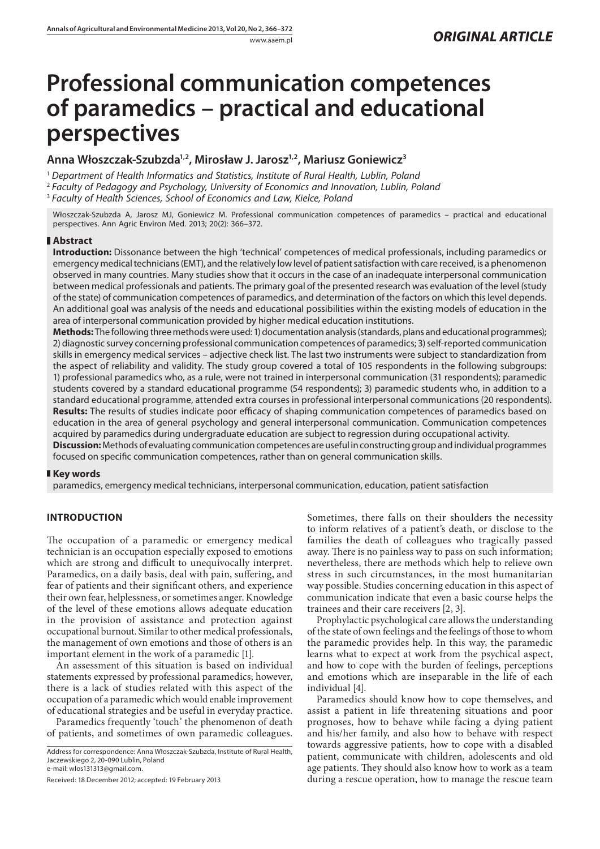# **Professional communication competences of paramedics – practical and educational perspectives**

## **Anna Włoszczak-Szubzda1,2, Mirosław J. Jarosz1,2, Mariusz Goniewicz3**

<sup>1</sup> *Department of Health Informatics and Statistics, Institute of Rural Health, Lublin, Poland*

<sup>2</sup> *Faculty of Pedagogy and Psychology, University of Economics and Innovation, Lublin, Poland*

<sup>3</sup> *Faculty of Health Sciences, School of Economics and Law, Kielce, Poland*

Włoszczak-Szubzda A, Jarosz MJ, Goniewicz M. Professional communication competences of paramedics – practical and educational perspectives. Ann Agric Environ Med. 2013; 20(2): 366–372.

## **Abstract**

**Introduction:** Dissonance between the high 'technical' competences of medical professionals, including paramedics or emergency medical technicians (EMT), and the relatively low level of patient satisfaction with care received, is a phenomenon observed in many countries. Many studies show that it occurs in the case of an inadequate interpersonal communication between medical professionals and patients. The primary goal of the presented research was evaluation of the level (study of the state) of communication competences of paramedics, and determination of the factors on which this level depends. An additional goal was analysis of the needs and educational possibilities within the existing models of education in the area of interpersonal communication provided by higher medical education institutions.

**Methods:** The following three methods were used: 1) documentation analysis (standards, plans and educational programmes); 2) diagnostic survey concerning professional communication competences of paramedics; 3) self-reported communication skills in emergency medical services – adjective check list. The last two instruments were subject to standardization from the aspect of reliability and validity. The study group covered a total of 105 respondents in the following subgroups: 1) professional paramedics who, as a rule, were not trained in interpersonal communication (31 respondents); paramedic students covered by a standard educational programme (54 respondents); 3) paramedic students who, in addition to a standard educational programme, attended extra courses in professional interpersonal communications (20 respondents). **Results:** The results of studies indicate poor efficacy of shaping communication competences of paramedics based on education in the area of general psychology and general interpersonal communication. Communication competences acquired by paramedics during undergraduate education are subject to regression during occupational activity.

**Discussion:** Methods of evaluating communication competences are useful in constructing group and individual programmes focused on specific communication competences, rather than on general communication skills.

## **Key words**

paramedics, emergency medical technicians, interpersonal communication, education, patient satisfaction

# **INTRODUCTION**

The occupation of a paramedic or emergency medical technician is an occupation especially exposed to emotions which are strong and difficult to unequivocally interpret. Paramedics, on a daily basis, deal with pain, suffering, and fear of patients and their significant others, and experience their own fear, helplessness, or sometimes anger. Knowledge of the level of these emotions allows adequate education in the provision of assistance and protection against occupational burnout. Similar to other medical professionals, the management of own emotions and those of others is an important element in the work of a paramedic [1].

An assessment of this situation is based on individual statements expressed by professional paramedics; however, there is a lack of studies related with this aspect of the occupation of a paramedic which would enable improvement of educational strategies and be useful in everyday practice.

Paramedics frequently 'touch' the phenomenon of death of patients, and sometimes of own paramedic colleagues.

Address for correspondence: Anna Włoszczak-Szubzda, Institute of Rural Health, Jaczewskiego 2, 20-090 Lublin, Poland e-mail: wlos131313@gmail.com.

Received: 18 December 2012; accepted: 19 February 2013

Sometimes, there falls on their shoulders the necessity to inform relatives of a patient's death, or disclose to the families the death of colleagues who tragically passed away. There is no painless way to pass on such information; nevertheless, there are methods which help to relieve own stress in such circumstances, in the most humanitarian way possible. Studies concerning education in this aspect of communication indicate that even a basic course helps the trainees and their care receivers [2, 3].

Prophylactic psychological care allows the understanding of the state of own feelings and the feelings of those to whom the paramedic provides help. In this way, the paramedic learns what to expect at work from the psychical aspect, and how to cope with the burden of feelings, perceptions and emotions which are inseparable in the life of each individual [4].

Paramedics should know how to cope themselves, and assist a patient in life threatening situations and poor prognoses, how to behave while facing a dying patient and his/her family, and also how to behave with respect towards aggressive patients, how to cope with a disabled patient, communicate with children, adolescents and old age patients. They should also know how to work as a team during a rescue operation, how to manage the rescue team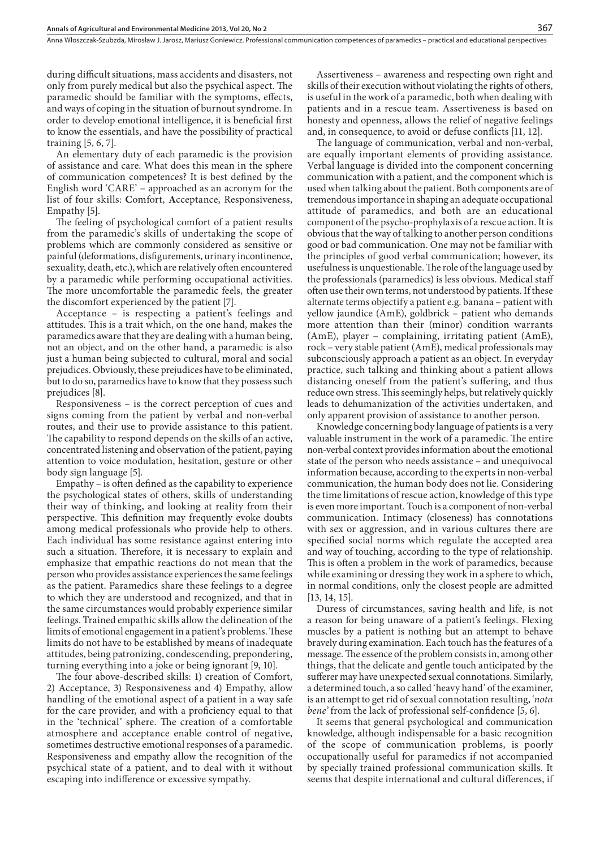during difficult situations, mass accidents and disasters, not only from purely medical but also the psychical aspect. The paramedic should be familiar with the symptoms, effects, and ways of coping in the situation of burnout syndrome. In order to develop emotional intelligence, it is beneficial first to know the essentials, and have the possibility of practical training [5, 6, 7].

An elementary duty of each paramedic is the provision of assistance and care. What does this mean in the sphere of communication competences? It is best defined by the English word 'CARE' – approached as an acronym for the list of four skills: **C**omfort, **A**cceptance, Responsiveness, Empathy [5].

The feeling of psychological comfort of a patient results from the paramedic's skills of undertaking the scope of problems which are commonly considered as sensitive or painful (deformations, disfigurements, urinary incontinence, sexuality, death, etc.), which are relatively often encountered by a paramedic while performing occupational activities. The more uncomfortable the paramedic feels, the greater the discomfort experienced by the patient [7].

Acceptance – is respecting a patient's feelings and attitudes. This is a trait which, on the one hand, makes the paramedics aware that they are dealing with a human being, not an object, and on the other hand, a paramedic is also just a human being subjected to cultural, moral and social prejudices. Obviously, these prejudices have to be eliminated, but to do so, paramedics have to know that they possess such prejudices [8].

Responsiveness – is the correct perception of cues and signs coming from the patient by verbal and non-verbal routes, and their use to provide assistance to this patient. The capability to respond depends on the skills of an active, concentrated listening and observation of the patient, paying attention to voice modulation, hesitation, gesture or other body sign language [5].

Empathy – is often defined as the capability to experience the psychological states of others, skills of understanding their way of thinking, and looking at reality from their perspective. This definition may frequently evoke doubts among medical professionals who provide help to others. Each individual has some resistance against entering into such a situation. Therefore, it is necessary to explain and emphasize that empathic reactions do not mean that the person who provides assistance experiences the same feelings as the patient. Paramedics share these feelings to a degree to which they are understood and recognized, and that in the same circumstances would probably experience similar feelings. Trained empathic skills allow the delineation of the limits of emotional engagement in a patient's problems. These limits do not have to be established by means of inadequate attitudes, being patronizing, condescending, prepondering, turning everything into a joke or being ignorant [9, 10].

The four above-described skills: 1) creation of Comfort, 2) Acceptance, 3) Responsiveness and 4) Empathy, allow handling of the emotional aspect of a patient in a way safe for the care provider, and with a proficiency equal to that in the 'technical' sphere. The creation of a comfortable atmosphere and acceptance enable control of negative, sometimes destructive emotional responses of a paramedic. Responsiveness and empathy allow the recognition of the psychical state of a patient, and to deal with it without escaping into indifference or excessive sympathy.

Assertiveness – awareness and respecting own right and skills of their execution without violating the rights of others, is useful in the work of a paramedic, both when dealing with patients and in a rescue team. Assertiveness is based on honesty and openness, allows the relief of negative feelings and, in consequence, to avoid or defuse conflicts [11, 12].

The language of communication, verbal and non-verbal, are equally important elements of providing assistance. Verbal language is divided into the component concerning communication with a patient, and the component which is used when talking about the patient. Both components are of tremendous importance in shaping an adequate occupational attitude of paramedics, and both are an educational component of the psycho-prophylaxis of a rescue action. It is obvious that the way of talking to another person conditions good or bad communication. One may not be familiar with the principles of good verbal communication; however, its usefulness is unquestionable. The role of the language used by the professionals (paramedics) is less obvious. Medical staff often use their own terms, not understood by patients. If these alternate terms objectify a patient e.g. banana – patient with yellow jaundice (AmE), goldbrick – patient who demands more attention than their (minor) condition warrants (AmE), player – complaining, irritating patient (AmE), rock – very stable patient (AmE), medical professionals may subconsciously approach a patient as an object. In everyday practice, such talking and thinking about a patient allows distancing oneself from the patient's suffering, and thus reduce own stress. This seemingly helps, but relatively quickly leads to dehumanization of the activities undertaken, and only apparent provision of assistance to another person.

Knowledge concerning body language of patients is a very valuable instrument in the work of a paramedic. The entire non-verbal context provides information about the emotional state of the person who needs assistance – and unequivocal information because, according to the experts in non-verbal communication, the human body does not lie. Considering the time limitations of rescue action, knowledge of this type is even more important. Touch is a component of non-verbal communication. Intimacy (closeness) has connotations with sex or aggression, and in various cultures there are specified social norms which regulate the accepted area and way of touching, according to the type of relationship. This is often a problem in the work of paramedics, because while examining or dressing they work in a sphere to which, in normal conditions, only the closest people are admitted [13, 14, 15].

Duress of circumstances, saving health and life, is not a reason for being unaware of a patient's feelings. Flexing muscles by a patient is nothing but an attempt to behave bravely during examination. Each touch has the features of a message. The essence of the problem consists in, among other things, that the delicate and gentle touch anticipated by the sufferer may have unexpected sexual connotations. Similarly, a determined touch, a so called 'heavy hand' of the examiner, is an attempt to get rid of sexual connotation resulting, '*nota bene'* from the lack of professional self-confidence [5, 6].

It seems that general psychological and communication knowledge, although indispensable for a basic recognition of the scope of communication problems, is poorly occupationally useful for paramedics if not accompanied by specially trained professional communication skills. It seems that despite international and cultural differences, if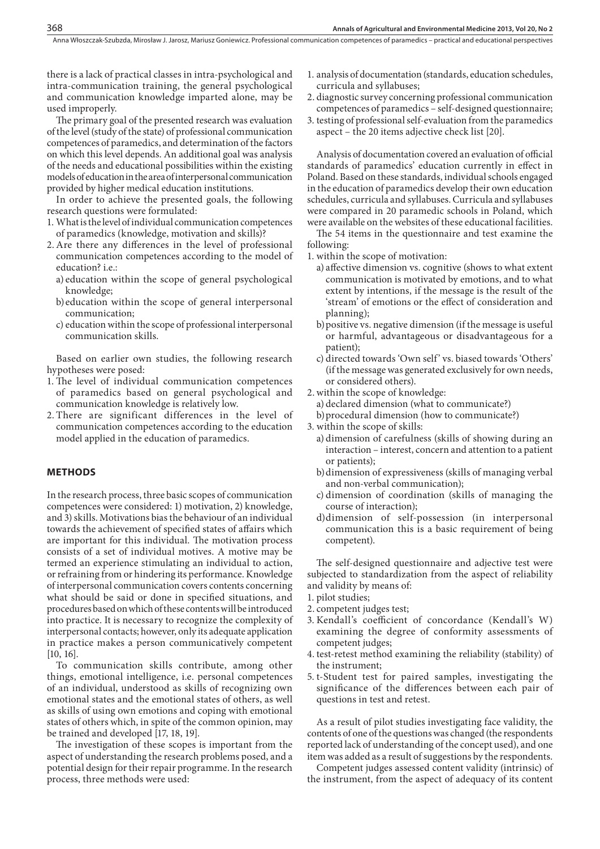there is a lack of practical classes in intra-psychological and intra-communication training, the general psychological and communication knowledge imparted alone, may be used improperly.

The primary goal of the presented research was evaluation of the level (study of the state) of professional communication competences of paramedics, and determination of the factors on which this level depends. An additional goal was analysis of the needs and educational possibilities within the existing models of education in the area of interpersonal communication provided by higher medical education institutions.

In order to achieve the presented goals, the following research questions were formulated:

- 1. What is the level of individual communication competences of paramedics (knowledge, motivation and skills)?
- 2.Are there any differences in the level of professional communication competences according to the model of education? i.e.:
	- a) education within the scope of general psychological knowledge;
	- b)education within the scope of general interpersonal communication;
	- c) education within the scope of professional interpersonal communication skills.

Based on earlier own studies, the following research hypotheses were posed:

- 1. The level of individual communication competences of paramedics based on general psychological and communication knowledge is relatively low.
- 2. There are significant differences in the level of communication competences according to the education model applied in the education of paramedics.

#### **METHODS**

368

In the research process, three basic scopes of communication competences were considered: 1) motivation, 2) knowledge, and 3) skills. Motivations bias the behaviour of an individual towards the achievement of specified states of affairs which are important for this individual. The motivation process consists of a set of individual motives. A motive may be termed an experience stimulating an individual to action, or refraining from or hindering its performance. Knowledge of interpersonal communication covers contents concerning what should be said or done in specified situations, and procedures based on which of these contents will be introduced into practice. It is necessary to recognize the complexity of interpersonal contacts; however, only its adequate application in practice makes a person communicatively competent [10, 16].

To communication skills contribute, among other things, emotional intelligence, i.e. personal competences of an individual, understood as skills of recognizing own emotional states and the emotional states of others, as well as skills of using own emotions and coping with emotional states of others which, in spite of the common opinion, may be trained and developed [17, 18, 19].

The investigation of these scopes is important from the aspect of understanding the research problems posed, and a potential design for their repair programme. In the research process, three methods were used:

- 1. analysis of documentation (standards, education schedules, curricula and syllabuses;
- 2. diagnostic survey concerning professional communication competences of paramedics – self-designed questionnaire;
- 3. testing of professional self-evaluation from the paramedics aspect – the 20 items adjective check list [20].

Analysis of documentation covered an evaluation of official standards of paramedics' education currently in effect in Poland. Based on these standards, individual schools engaged in the education of paramedics develop their own education schedules, curricula and syllabuses. Curricula and syllabuses were compared in 20 paramedic schools in Poland, which were available on the websites of these educational facilities.

The 54 items in the questionnaire and test examine the following:

- 1. within the scope of motivation:
	- a) affective dimension vs. cognitive (shows to what extent communication is motivated by emotions, and to what extent by intentions, if the message is the result of the 'stream' of emotions or the effect of consideration and planning);
	- b)positive vs. negative dimension (if the message is useful or harmful, advantageous or disadvantageous for a patient);
	- c) directed towards 'Own self' vs. biased towards 'Others' (if the message was generated exclusively for own needs, or considered others).
- 2.within the scope of knowledge:
	- a) declared dimension (what to communicate?)
	- b)procedural dimension (how to communicate?)
- 3. within the scope of skills:
	- a) dimension of carefulness (skills of showing during an interaction – interest, concern and attention to a patient or patients);
	- b)dimension of expressiveness (skills of managing verbal and non-verbal communication);
	- c) dimension of coordination (skills of managing the course of interaction);
	- d)dimension of self-possession (in interpersonal communication this is a basic requirement of being competent).

The self-designed questionnaire and adjective test were subjected to standardization from the aspect of reliability and validity by means of:

- 1. pilot studies;
- 2. competent judges test;
- 3. Kendall's coefficient of concordance (Kendall's W) examining the degree of conformity assessments of competent judges;
- 4. test-retest method examining the reliability (stability) of the instrument;
- 5. t-Student test for paired samples, investigating the significance of the differences between each pair of questions in test and retest.

As a result of pilot studies investigating face validity, the contents of one of the questions was changed (the respondents reported lack of understanding of the concept used), and one item was added as a result of suggestions by the respondents.

Competent judges assessed content validity (intrinsic) of the instrument, from the aspect of adequacy of its content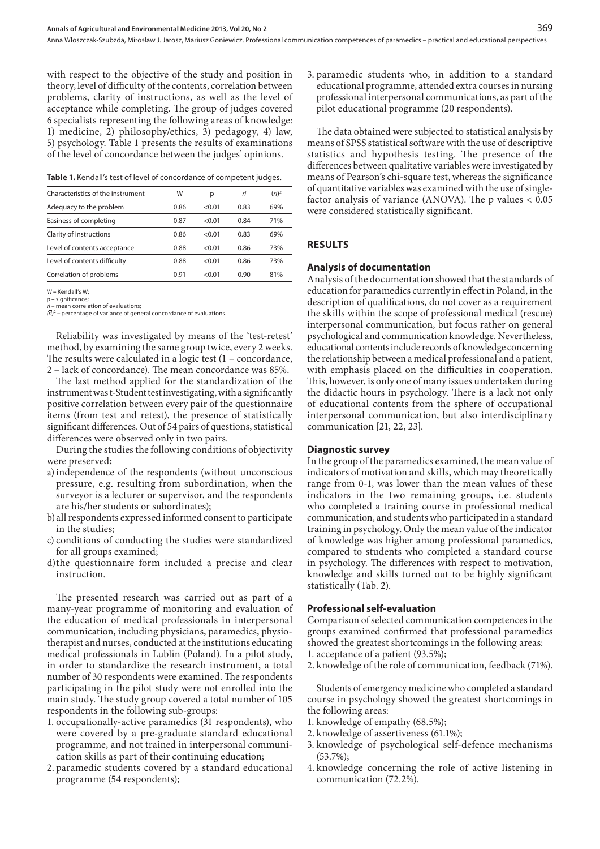with respect to the objective of the study and position in theory, level of difficulty of the contents, correlation between problems, clarity of instructions, as well as the level of acceptance while completing. The group of judges covered 6 specialists representing the following areas of knowledge: 1) medicine, 2) philosophy/ethics, 3) pedagogy, 4) law, 5) psychology. Table 1 presents the results of examinations of the level of concordance between the judges' opinions.

**Table 1.** Kendall's test of level of concordance of competent judges.

| Characteristics of the instrument | W    | р      | ri   | $(ri)^2$ |
|-----------------------------------|------|--------|------|----------|
| Adequacy to the problem           | 0.86 | < 0.01 | 0.83 | 69%      |
| Easiness of completing            | 0.87 | < 0.01 | 0.84 | 71%      |
| Clarity of instructions           | 0.86 | < 0.01 | 0.83 | 69%      |
| Level of contents acceptance      | 0.88 | < 0.01 | 0.86 | 73%      |
| Level of contents difficulty      | 0.88 | < 0.01 | 0.86 | 73%      |
| Correlation of problems           | O 91 | < 0.01 | 0.90 | 81%      |

W **–** Kendall's W;

p **–** significance; *ri* – mean correlation of evaluations;

*(ri)* 2  **–** percentage of variance of general concordance of evaluations.

Reliability was investigated by means of the 'test-retest' method, by examining the same group twice, every 2 weeks. The results were calculated in a logic test (1 – concordance, 2 – lack of concordance). The mean concordance was 85%.

The last method applied for the standardization of the instrument was t-Student test investigating, with a significantly positive correlation between every pair of the questionnaire items (from test and retest), the presence of statistically significant differences. Out of 54 pairs of questions, statistical differences were observed only in two pairs.

During the studies the following conditions of objectivity were preserved**:**

- a)independence of the respondents (without unconscious pressure, e.g. resulting from subordination, when the surveyor is a lecturer or supervisor, and the respondents are his/her students or subordinates);
- b)all respondents expressed informed consent to participate in the studies;
- c) conditions of conducting the studies were standardized for all groups examined;
- d)the questionnaire form included a precise and clear instruction.

The presented research was carried out as part of a many-year programme of monitoring and evaluation of the education of medical professionals in interpersonal communication, including physicians, paramedics, physiotherapist and nurses, conducted at the institutions educating medical professionals in Lublin (Poland). In a pilot study, in order to standardize the research instrument, a total number of 30 respondents were examined. The respondents participating in the pilot study were not enrolled into the main study. The study group covered a total number of 105 respondents in the following sub-groups:

- 1. occupationally-active paramedics (31 respondents), who were covered by a pre-graduate standard educational programme, and not trained in interpersonal communication skills as part of their continuing education;
- 2. paramedic students covered by a standard educational programme (54 respondents);

3. paramedic students who, in addition to a standard educational programme, attended extra courses in nursing professional interpersonal communications, as part of the pilot educational programme (20 respondents).

The data obtained were subjected to statistical analysis by means of SPSS statistical software with the use of descriptive statistics and hypothesis testing. The presence of the differences between qualitative variables were investigated by means of Pearson's chi-square test, whereas the significance of quantitative variables was examined with the use of singlefactor analysis of variance (ANOVA). The p values < 0.05 were considered statistically significant.

#### **RESULTS**

#### **Analysis of documentation**

Analysis of the documentation showed that the standards of education for paramedics currently in effect in Poland, in the description of qualifications, do not cover as a requirement the skills within the scope of professional medical (rescue) interpersonal communication, but focus rather on general psychological and communication knowledge. Nevertheless, educational contents include records of knowledge concerning the relationship between a medical professional and a patient, with emphasis placed on the difficulties in cooperation. This, however, is only one of many issues undertaken during the didactic hours in psychology. There is a lack not only of educational contents from the sphere of occupational interpersonal communication, but also interdisciplinary communication [21, 22, 23].

## **Diagnostic survey**

In the group of the paramedics examined, the mean value of indicators of motivation and skills, which may theoretically range from 0-1, was lower than the mean values of these indicators in the two remaining groups, i.e. students who completed a training course in professional medical communication, and students who participated in a standard training in psychology. Only the mean value of the indicator of knowledge was higher among professional paramedics, compared to students who completed a standard course in psychology. The differences with respect to motivation, knowledge and skills turned out to be highly significant statistically (Tab. 2).

#### **Professional self-evaluation**

Comparison of selected communication competences in the groups examined confirmed that professional paramedics showed the greatest shortcomings in the following areas: 1. acceptance of a patient (93.5%);

2. knowledge of the role of communication, feedback (71%).

Students of emergency medicine who completed a standard course in psychology showed the greatest shortcomings in the following areas:

- 1. knowledge of empathy (68.5%);
- 2. knowledge of assertiveness (61.1%);
- 3. knowledge of psychological self-defence mechanisms (53.7%);
- 4. knowledge concerning the role of active listening in communication (72.2%).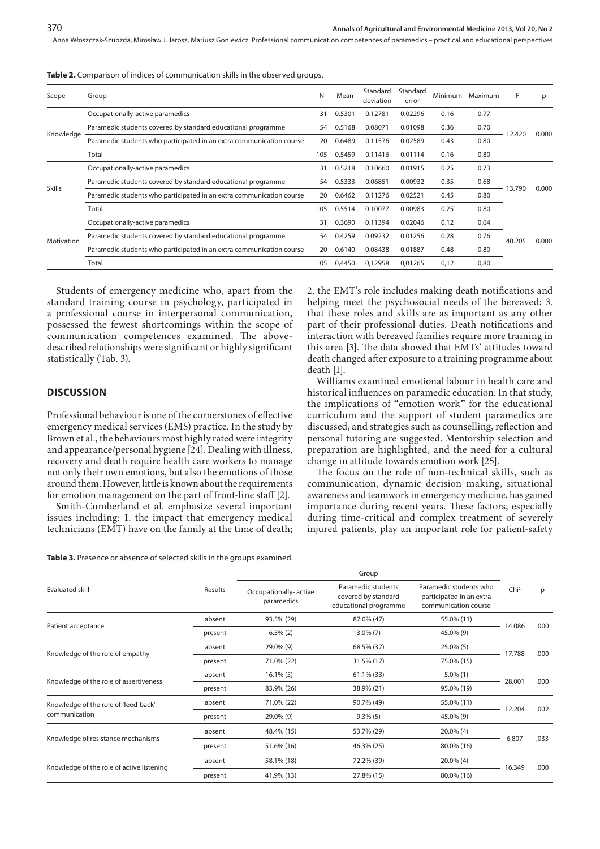Anna Włoszczak-Szubzda, Mirosław J. Jarosz, Mariusz Goniewicz . Professional communication competences of paramedics – practical and educational perspectives

| Scope         | Group                                                                | N   | Mean   | Standard<br>deviation | Standard<br>error | Minimum | Maximum | F               | p     |
|---------------|----------------------------------------------------------------------|-----|--------|-----------------------|-------------------|---------|---------|-----------------|-------|
| Knowledge     | Occupationally-active paramedics                                     | 31  | 0.5301 | 0.12781               | 0.02296           | 0.16    | 0.77    |                 |       |
|               | Paramedic students covered by standard educational programme         | 54  | 0.5168 | 0.08071               | 0.01098           | 0.36    | 0.70    |                 |       |
|               | Paramedic students who participated in an extra communication course | 20  | 0.6489 | 0.11576               | 0.02589           | 0.43    | 0.80    | 12.420          | 0.000 |
|               | Total                                                                | 105 | 0.5459 | 0.11416               | 0.01114           | 0.16    | 0.80    |                 |       |
| <b>Skills</b> | Occupationally-active paramedics                                     | 31  | 0.5218 | 0.10660               | 0.01915           | 0.25    | 0.73    |                 | 0.000 |
|               | Paramedic students covered by standard educational programme         | 54  | 0.5333 | 0.06851               | 0.00932           | 0.35    | 0.68    |                 |       |
|               | Paramedic students who participated in an extra communication course | 20  | 0.6462 | 0.11276               | 0.02521           | 0.45    | 0.80    | 13.790          |       |
|               | Total                                                                | 105 | 0.5514 | 0.10077               | 0.00983           | 0.25    | 0.80    |                 |       |
| Motivation    | Occupationally-active paramedics                                     | 31  | 0.3690 | 0.11394               | 0.02046           | 0.12    | 0.64    |                 |       |
|               | Paramedic students covered by standard educational programme         | 54  | 0.4259 | 0.09232               | 0.01256           | 0.28    | 0.76    | 40.205<br>0.000 |       |
|               | Paramedic students who participated in an extra communication course | 20  | 0.6140 | 0.08438               | 0.01887           | 0.48    | 0.80    |                 |       |
|               | Total                                                                | 105 | 0,4450 | 0,12958               | 0,01265           | 0,12    | 0,80    |                 |       |
|               |                                                                      |     |        |                       |                   |         |         |                 |       |

**Table 2.** Comparison of indices of communication skills in the observed groups.

Students of emergency medicine who, apart from the standard training course in psychology, participated in a professional course in interpersonal communication, possessed the fewest shortcomings within the scope of communication competences examined. The abovedescribed relationships were significant or highly significant statistically (Tab. 3).

### **DISCUSSION**

Professional behaviour is one of the cornerstones of effective emergency medical services (EMS) practice. In the study by Brown et al., the behaviours most highly rated were integrity and appearance/personal hygiene [24]. Dealing with illness, recovery and death require health care workers to manage not only their own emotions, but also the emotions of those around them. However, little is known about the requirements for emotion management on the part of front-line staff [2].

Smith-Cumberland et al. emphasize several important issues including: 1. the impact that emergency medical technicians (EMT) have on the family at the time of death;

**Table 3.** Presence or absence of selected skills in the groups examined.

2. the EMT's role includes making death notifications and helping meet the psychosocial needs of the bereaved; 3. that these roles and skills are as important as any other part of their professional duties. Death notifications and interaction with bereaved families require more training in this area [3]. The data showed that EMTs' attitudes toward death changed after exposure to a training programme about death [1].

Williams examined emotional labour in health care and historical influences on paramedic education. In that study, the implications of **"**emotion work**"** for the educational curriculum and the support of student paramedics are discussed, and strategies such as counselling, reflection and personal tutoring are suggested. Mentorship selection and preparation are highlighted, and the need for a cultural change in attitude towards emotion work [25].

The focus on the role of non-technical skills, such as communication, dynamic decision making, situational awareness and teamwork in emergency medicine, has gained importance during recent years. These factors, especially during time-critical and complex treatment of severely injured patients, play an important role for patient-safety

| Evaluated skill                                       |         |                                     |                                                                    |                                                                            |                  |      |
|-------------------------------------------------------|---------|-------------------------------------|--------------------------------------------------------------------|----------------------------------------------------------------------------|------------------|------|
|                                                       | Results | Occupationally-active<br>paramedics | Paramedic students<br>covered by standard<br>educational programme | Paramedic students who<br>participated in an extra<br>communication course | Chi <sup>2</sup> | p    |
| Patient acceptance                                    | absent  | 93.5% (29)                          | 87.0% (47)                                                         | 55.0% (11)                                                                 |                  | .000 |
|                                                       | present | $6.5\%$ (2)                         | $13.0\% (7)$                                                       | 45.0% (9)                                                                  | 14.086           |      |
| Knowledge of the role of empathy                      | absent  | 29.0% (9)                           | 68.5% (37)                                                         | $25.0\%$ (5)                                                               | 17.788           | .000 |
|                                                       | present | 71.0% (22)                          | 31.5% (17)                                                         | 75.0% (15)                                                                 |                  |      |
| Knowledge of the role of assertiveness                | absent  | $16.1\%$ (5)                        | 61.1% (33)                                                         | $5.0\%$ (1)                                                                |                  | .000 |
|                                                       | present | 83.9% (26)                          | 38.9% (21)                                                         | 95.0% (19)                                                                 | 28.001           |      |
| Knowledge of the role of 'feed-back'<br>communication | absent  | 71.0% (22)                          | 90.7% (49)                                                         | 55.0% (11)                                                                 |                  | .002 |
|                                                       | present | 29.0% (9)                           | $9.3\%$ (5)                                                        | 45.0% (9)                                                                  | 12.204           |      |
| Knowledge of resistance mechanisms                    | absent  | 48.4% (15)                          | 53.7% (29)                                                         | $20.0\%$ (4)                                                               |                  | ,033 |
|                                                       | present | 51.6% (16)                          | 46.3% (25)                                                         | 80.0% (16)                                                                 | 6,807            |      |
| Knowledge of the role of active listening             | absent  | 58.1% (18)                          | 72.2% (39)                                                         | $20.0\%$ (4)                                                               |                  | .000 |
|                                                       | present | 41.9% (13)                          | 27.8% (15)                                                         | 80.0% (16)                                                                 | 16.349           |      |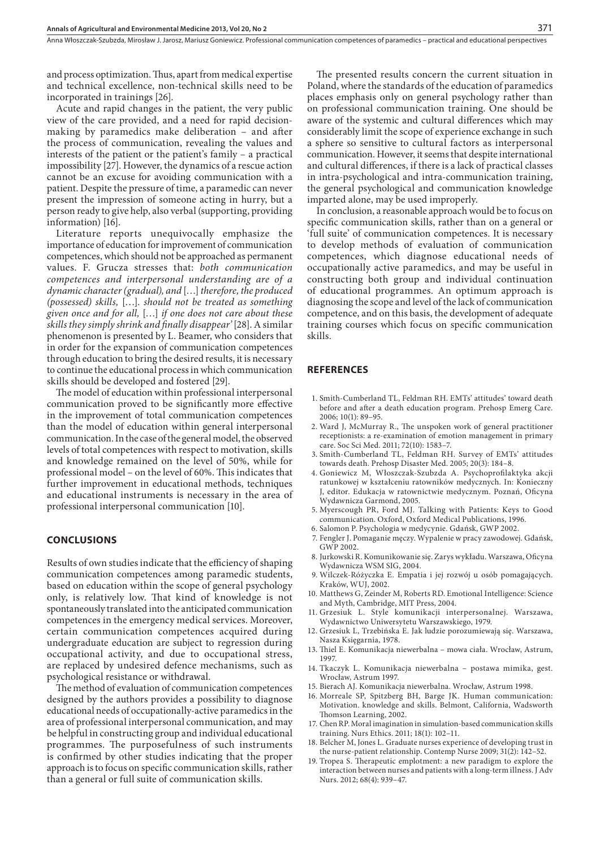and process optimization. Thus, apart from medical expertise and technical excellence, non-technical skills need to be incorporated in trainings [26].

Acute and rapid changes in the patient, the very public view of the care provided, and a need for rapid decisionmaking by paramedics make deliberation – and after the process of communication, revealing the values and interests of the patient or the patient's family – a practical impossibility [27]. However, the dynamics of a rescue action cannot be an excuse for avoiding communication with a patient. Despite the pressure of time, a paramedic can never present the impression of someone acting in hurry, but a person ready to give help, also verbal (supporting, providing information) [16].

Literature reports unequivocally emphasize the importance of education for improvement of communication competences, which should not be approached as permanent values. F. Grucza stresses that: *both communication competences and interpersonal understanding are of a dynamic character (gradual), and* […] *therefore, the produced (possessed) skills,* […]*. should not be treated as something given once and for all,* […] *if one does not care about these skills they simply shrink and finally disappear'* [28]. A similar phenomenon is presented by L. Beamer, who considers that in order for the expansion of communication competences through education to bring the desired results, it is necessary to continue the educational process in which communication skills should be developed and fostered [29].

The model of education within professional interpersonal communication proved to be significantly more effective in the improvement of total communication competences than the model of education within general interpersonal communication. In the case of the general model, the observed levels of total competences with respect to motivation, skills and knowledge remained on the level of 50%, while for professional model – on the level of 60%. This indicates that further improvement in educational methods, techniques and educational instruments is necessary in the area of professional interpersonal communication [10].

## **CONCLUSIONS**

Results of own studies indicate that the efficiency of shaping communication competences among paramedic students, based on education within the scope of general psychology only, is relatively low. That kind of knowledge is not spontaneously translated into the anticipated communication competences in the emergency medical services. Moreover, certain communication competences acquired during undergraduate education are subject to regression during occupational activity, and due to occupational stress, are replaced by undesired defence mechanisms, such as psychological resistance or withdrawal.

The method of evaluation of communication competences designed by the authors provides a possibility to diagnose educational needs of occupationally-active paramedics in the area of professional interpersonal communication, and may be helpful in constructing group and individual educational programmes. The purposefulness of such instruments is confirmed by other studies indicating that the proper approach is to focus on specific communication skills, rather than a general or full suite of communication skills.

The presented results concern the current situation in Poland, where the standards of the education of paramedics places emphasis only on general psychology rather than on professional communication training. One should be aware of the systemic and cultural differences which may considerably limit the scope of experience exchange in such a sphere so sensitive to cultural factors as interpersonal communication. However, it seems that despite international and cultural differences, if there is a lack of practical classes in intra-psychological and intra-communication training, the general psychological and communication knowledge imparted alone, may be used improperly.

In conclusion, a reasonable approach would be to focus on specific communication skills, rather than on a general or 'full suite' of communication competences. It is necessary to develop methods of evaluation of communication competences, which diagnose educational needs of occupationally active paramedics, and may be useful in constructing both group and individual continuation of educational programmes. An optimum approach is diagnosing the scope and level of the lack of communication competence, and on this basis, the development of adequate training courses which focus on specific communication skills.

#### **REFERENCES**

- 1. Smith-Cumberland TL, Feldman RH. EMTs' attitudes' toward death before and after a death education program. Prehosp Emerg Care. 2006; 10(1): 89–95.
- 2. Ward J, McMurray R., The unspoken work of general practitioner receptionists: a re-examination of emotion management in primary care. Soc Sci Med. 2011; 72(10): 1583–7.
- 3. Smith-Cumberland TL, Feldman RH. Survey of EMTs' attitudes towards death. Prehosp Disaster Med. 2005; 20(3): 184–8.
- 4. Goniewicz M, Włoszczak-Szubzda A. Psychoprofilaktyka akcji ratunkowej w kształceniu ratowników medycznych. In: Konieczny J, editor. Edukacja w ratownictwie medycznym. Poznań, Oficyna Wydawnicza Garmond, 2005.
- 5. Myerscough PR, Ford MJ. Talking with Patients: Keys to Good communication. Oxford, Oxford Medical Publications, 1996.
- 6. Salomon P. Psychologia w medycynie. Gdańsk, GWP 2002.
- 7. Fengler J. Pomaganie męczy. Wypalenie w pracy zawodowej. Gdańsk, GWP 2002.
- 8. Jurkowski R. Komunikowanie się. Zarys wykładu. Warszawa, Oficyna Wydawnicza WSM SIG, 2004.
- 9. Wilczek-Różyczka E. Empatia i jej rozwój u osób pomagających. Kraków, WUJ, 2002.
- 10. Matthews G, Zeinder M, Roberts RD. Emotional Intelligence: Science and Myth, Cambridge, MIT Press, 2004.
- 11. Grzesiuk L. Style komunikacji interpersonalnej. Warszawa, Wydawnictwo Uniwersytetu Warszawskiego, 1979.
- 12. Grzesiuk L, Trzebińska E. Jak ludzie porozumiewają się. Warszawa, Nasza Księgarnia, 1978.
- 13. Thiel E. Komunikacja niewerbalna mowa ciała. Wrocław, Astrum, 1997.
- 14. Tkaczyk L. Komunikacja niewerbalna postawa mimika, gest. Wrocław, Astrum 1997.
- 15. Bierach AJ. Komunikacja niewerbalna. Wrocław, Astrum 1998.
- 16. Morreale SP, Spitzberg BH, Barge JK. Human communication: Motivation. knowledge and skills. Belmont, California, Wadsworth Thomson Learning, 2002.
- 17. Chen RP. Moral imagination in simulation-based communication skills training. Nurs Ethics. 2011; 18(1): 102–11.
- 18. Belcher M, Jones L. Graduate nurses experience of developing trust in the nurse-patient relationship. Contemp Nurse 2009; 31(2): 142–52.
- 19. Tropea S. Therapeutic emplotment: a new paradigm to explore the interaction between nurses and patients with a long-term illness. J Adv Nurs. 2012; 68(4): 939–47.